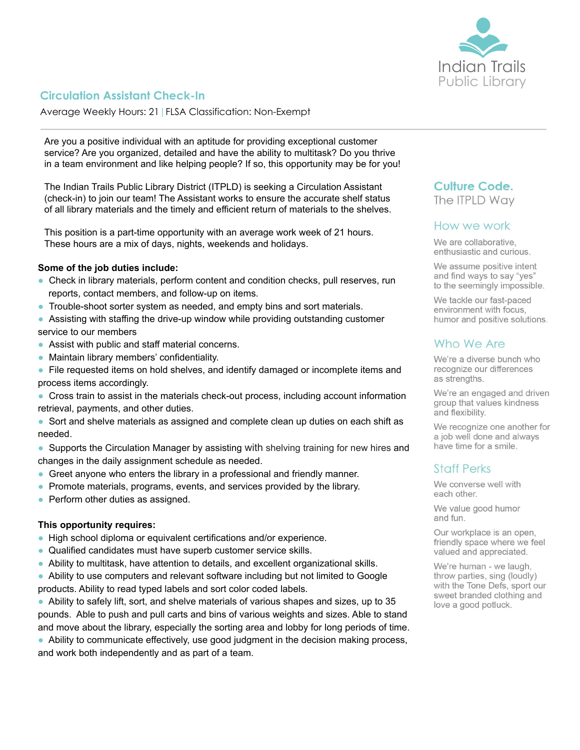

# **Circulation Assistant Check-In**

Average Weekly Hours: 21|FLSA Classification: Non-Exempt

Are you a positive individual with an aptitude for providing exceptional customer service? Are you organized, detailed and have the ability to multitask? Do you thrive in a team environment and like helping people? If so, this opportunity may be for you!

The Indian Trails Public Library District (ITPLD) is seeking a Circulation Assistant (check-in) to join our team! The Assistant works to ensure the accurate shelf status of all library materials and the timely and efficient return of materials to the shelves.

This position is a part-time opportunity with an average work week of 21 hours. These hours are a mix of days, nights, weekends and holidays.

#### **Some of the job duties include:**

- **●** Check in library materials, perform content and condition checks, pull reserves, run reports, contact members, and follow-up on items.
- **●** Trouble-shoot sorter system as needed, and empty bins and sort materials.
- **●** Assisting with staffing the drive-up window while providing outstanding customer service to our members
- **●** Assist with public and staff material concerns.
- **●** Maintain library members' confidentiality.
- **●** File requested items on hold shelves, and identify damaged or incomplete items and process items accordingly.
- **●** Cross train to assist in the materials check-out process, including account information retrieval, payments, and other duties.
- **●** Sort and shelve materials as assigned and complete clean up duties on each shift as needed.
- **●** Supports the Circulation Manager by assisting with shelving training for new hires and changes in the daily assignment schedule as needed.
- **●** Greet anyone who enters the library in a professional and friendly manner.
- **●** Promote materials, programs, events, and services provided by the library.
- **●** Perform other duties as assigned.

#### **This opportunity requires:**

- **●** High school diploma or equivalent certifications and/or experience.
- **●** Qualified candidates must have superb customer service skills.
- **●** Ability to multitask, have attention to details, and excellent organizational skills.

**●** Ability to use computers and relevant software including but not limited to Google products. Ability to read typed labels and sort color coded labels.

**●** Ability to safely lift, sort, and shelve materials of various shapes and sizes, up to 35 pounds. Able to push and pull carts and bins of various weights and sizes. Able to stand and move about the library, especially the sorting area and lobby for long periods of time.

**●** Ability to communicate effectively, use good judgment in the decision making process,

and work both independently and as part of a team.

# **Culture Code.**

The ITPLD Way

## How we work

We are collaborative, enthusiastic and curious.

We assume positive intent and find ways to say "yes" to the seemingly impossible.

We tackle our fast-paced environment with focus. humor and positive solutions.

## Who We Are

We're a diverse bunch who recognize our differences as strengths.

We're an engaged and driven group that values kindness and flexibility.

We recognize one another for a job well done and always have time for a smile.

## **Staff Perks**

We converse well with each other.

We value good humor and fun.

Our workplace is an open, friendly space where we feel valued and appreciated.

We're human - we laugh, throw parties, sing (loudly) with the Tone Defs, sport our sweet branded clothing and love a good potluck.